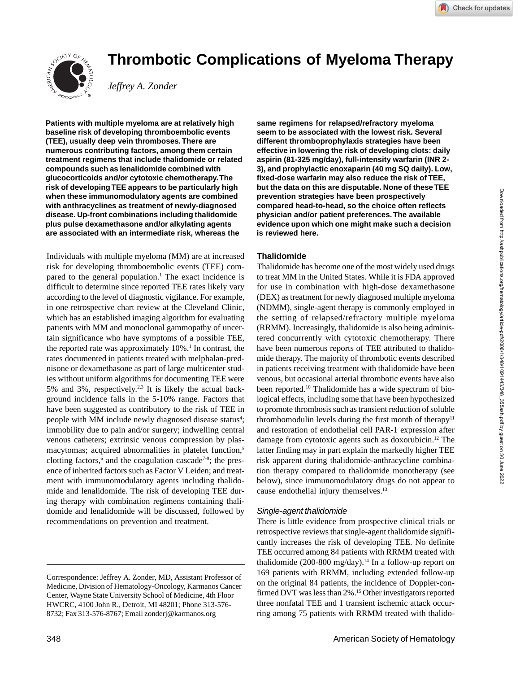# **Thrombotic Complications of Myeloma Therapy**



*Jeffrey A. Zonder*

**Patients with multiple myeloma are at relatively high baseline risk of developing thromboembolic events (TEE), usually deep vein thromboses. There are numerous contributing factors, among them certain treatment regimens that include thalidomide or related compounds such as lenalidomide combined with glucocorticoids and/or cytotoxic chemotherapy. The risk of developing TEE appears to be particularly high when these immunomodulatory agents are combined with anthracyclines as treatment of newly-diagnosed disease. Up-front combinations including thalidomide plus pulse dexamethasone and/or alkylating agents are associated with an intermediate risk, whereas the**

Individuals with multiple myeloma (MM) are at increased risk for developing thromboembolic events (TEE) compared to the general population.<sup>1</sup> The exact incidence is difficult to determine since reported TEE rates likely vary according to the level of diagnostic vigilance. For example, in one retrospective chart review at the Cleveland Clinic, which has an established imaging algorithm for evaluating patients with MM and monoclonal gammopathy of uncertain significance who have symptoms of a possible TEE, the reported rate was approximately 10%.<sup>1</sup> In contrast, the rates documented in patients treated with melphalan-prednisone or dexamethasone as part of large multicenter studies without uniform algorithms for documenting TEE were 5% and 3%, respectively.<sup>2,3</sup> It is likely the actual background incidence falls in the 5-10% range. Factors that have been suggested as contributory to the risk of TEE in people with MM include newly diagnosed disease status<sup>4</sup>; immobility due to pain and/or surgery; indwelling central venous catheters; extrinsic venous compression by plasmacytomas; acquired abnormalities in platelet function,<sup>5</sup> clotting factors,<sup>6</sup> and the coagulation cascade<sup>7-9</sup>; the presence of inherited factors such as Factor V Leiden; and treatment with immunomodulatory agents including thalidomide and lenalidomide. The risk of developing TEE during therapy with combination regimens containing thalidomide and lenalidomide will be discussed, followed by recommendations on prevention and treatment.

**same regimens for relapsed/refractory myeloma seem to be associated with the lowest risk. Several different thromboprophylaxis strategies have been effective in lowering the risk of developing clots: daily aspirin (81-325 mg/day), full-intensity warfarin (INR 2- 3), and prophylactic enoxaparin (40 mg SQ daily). Low, fixed-dose warfarin may also reduce the risk of TEE, but the data on this are disputable. None of these TEE prevention strategies have been prospectively compared head-to-head, so the choice often reflects physician and/or patient preferences. The available evidence upon which one might make such a decision is reviewed here.**

## **Thalidomide**

Thalidomide has become one of the most widely used drugs to treat MM in the United States. While it is FDA approved for use in combination with high-dose dexamethasone (DEX) as treatment for newly diagnosed multiple myeloma (NDMM), single-agent therapy is commonly employed in the setting of relapsed/refractory multiple myeloma (RRMM). Increasingly, thalidomide is also being administered concurrently with cytotoxic chemotherapy. There have been numerous reports of TEE attributed to thalidomide therapy. The majority of thrombotic events described in patients receiving treatment with thalidomide have been venous, but occasional arterial thrombotic events have also been reported.10 Thalidomide has a wide spectrum of biological effects, including some that have been hypothesized to promote thrombosis such as transient reduction of soluble thrombomodulin levels during the first month of therapy<sup>11</sup> and restoration of endothelial cell PAR-1 expression after damage from cytotoxic agents such as doxorubicin.12 The latter finding may in part explain the markedly higher TEE risk apparent during thalidomide-anthracycline combination therapy compared to thalidomide monotherapy (see below), since immunomodulatory drugs do not appear to cause endothelial injury themselves.<sup>13</sup>

## *Single-agent thalidomide*

There is little evidence from prospective clinical trials or retrospective reviews that single-agent thalidomide significantly increases the risk of developing TEE. No definite TEE occurred among 84 patients with RRMM treated with thalidomide (200-800 mg/day).<sup>14</sup> In a follow-up report on 169 patients with RRMM, including extended follow-up on the original 84 patients, the incidence of Doppler-confirmed DVT was less than 2%.<sup>15</sup> Other investigators reported three nonfatal TEE and 1 transient ischemic attack occurring among 75 patients with RRMM treated with thalido-

Correspondence: Jeffrey A. Zonder, MD, Assistant Professor of Medicine, Division of Hematology-Oncology, Karmanos Cancer Center, Wayne State University School of Medicine, 4th Floor HWCRC, 4100 John R., Detroit, MI 48201; Phone 313-576- 8732; Fax 313-576-8767; Email zonderj@karmanos.org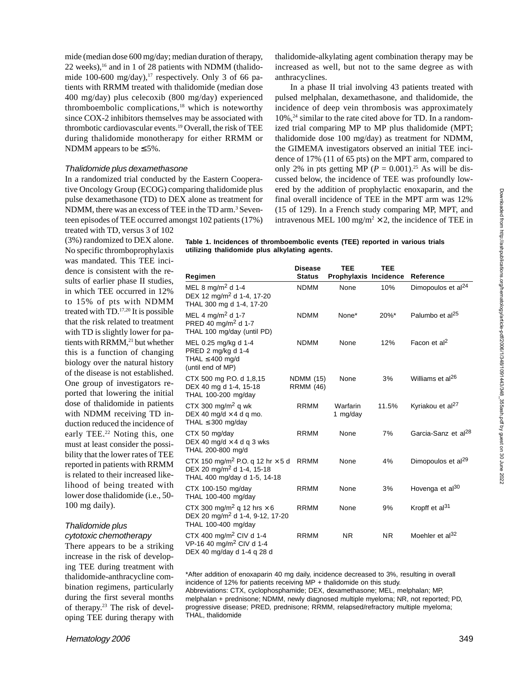mide (median dose 600 mg/day; median duration of therapy, 22 weeks), $16$  and in 1 of 28 patients with NDMM (thalidomide 100-600 mg/day),<sup>17</sup> respectively. Only 3 of 66 patients with RRMM treated with thalidomide (median dose 400 mg/day) plus celecoxib (800 mg/day) experienced thromboembolic complications,18 which is noteworthy since COX-2 inhibitors themselves may be associated with thrombotic cardiovascular events.19 Overall, the risk of TEE during thalidomide monotherapy for either RRMM or NDMM appears to be  $\leq 5\%$ .

# *Thalidomide plus dexamethasone*

In a randomized trial conducted by the Eastern Cooperative Oncology Group (ECOG) comparing thalidomide plus pulse dexamethasone (TD) to DEX alone as treatment for NDMM, there was an excess of TEE in the TD arm.<sup>3</sup> Seventeen episodes of TEE occurred amongst 102 patients (17%) treated with TD, versus 3 of 102

(3%) randomized to DEX alone. No specific thromboprophylaxis was mandated. This TEE incidence is consistent with the results of earlier phase II studies, in which TEE occurred in 12% to 15% of pts with NDMM treated with  $TD<sub>17,20</sub>$  It is possible that the risk related to treatment with TD is slightly lower for patients with RRMM,<sup>21</sup> but whether this is a function of changing biology over the natural history of the disease is not established. One group of investigators reported that lowering the initial dose of thalidomide in patients with NDMM receiving TD induction reduced the incidence of early TEE.<sup>22</sup> Noting this, one must at least consider the possibility that the lower rates of TEE reported in patients with RRMM is related to their increased likelihood of being treated with lower dose thalidomide (i.e., 50- 100 mg daily).

## *Thalidomide plus cytotoxic chemotherapy*

There appears to be a striking increase in the risk of developing TEE during treatment with thalidomide-anthracycline combination regimens, particularly during the first several months of therapy.23 The risk of developing TEE during therapy with

thalidomide-alkylating agent combination therapy may be increased as well, but not to the same degree as with anthracyclines.

In a phase II trial involving 43 patients treated with pulsed melphalan, dexamethasone, and thalidomide, the incidence of deep vein thrombosis was approximately  $10\%$ ,<sup>24</sup> similar to the rate cited above for TD. In a randomized trial comparing MP to MP plus thalidomide (MPT; thalidomide dose 100 mg/day) as treatment for NDMM, the GIMEMA investigators observed an initial TEE incidence of 17% (11 of 65 pts) on the MPT arm, compared to only 2% in pts getting MP ( $P = 0.001$ )<sup>25</sup> As will be discussed below, the incidence of TEE was profoundly lowered by the addition of prophylactic enoxaparin, and the final overall incidence of TEE in the MPT arm was 12% (15 of 129). In a French study comparing MP, MPT, and intravenous MEL 100 mg/m<sup>2</sup>  $\times$  2, the incidence of TEE in

#### **Table 1. Incidences of thromboembolic events (TEE) reported in various trials utilizing thalidomide plus alkylating agents.**

| Regimen                                                                                                                      | <b>Disease</b><br><b>Status</b>      | <b>TEE</b><br>Prophylaxis Incidence | <b>TEE</b> | Reference                       |
|------------------------------------------------------------------------------------------------------------------------------|--------------------------------------|-------------------------------------|------------|---------------------------------|
| MEL 8 mg/m <sup>2</sup> d 1-4<br>DEX 12 mg/m <sup>2</sup> d 1-4, 17-20<br>THAL 300 mg d 1-4, 17-20                           | <b>NDMM</b>                          | None                                | 10%        | Dimopoulos et al <sup>24</sup>  |
| MEL 4 mg/m <sup>2</sup> d 1-7<br>PRED 40 mg/m <sup>2</sup> d 1-7<br>THAL 100 mg/day (until PD)                               | <b>NDMM</b>                          | None*                               | $20\%$ *   | Palumbo et al <sup>25</sup>     |
| MEL 0.25 mg/kg d 1-4<br>PRED 2 mg/kg d 1-4<br>THAL $\leq$ 400 mg/d<br>(until end of MP)                                      | <b>NDMM</b>                          | None                                | 12%        | Facon et $al2$                  |
| CTX 500 mg P.O. d 1,8,15<br>DEX 40 mg d 1-4, 15-18<br>THAL 100-200 mg/day                                                    | <b>NDMM</b> (15)<br><b>RRMM (46)</b> | None                                | 3%         | Williams et al <sup>26</sup>    |
| CTX 300 mg/m <sup>2</sup> q wk<br>DEX 40 mg/d $\times$ 4 d q mo.<br>THAL $\leq$ 300 mg/day                                   | RRMM                                 | Warfarin<br>1 mg/day                | 11.5%      | Kyriakou et al <sup>27</sup>    |
| CTX 50 mg/day<br>DEX 40 mg/d $\times$ 4 d q 3 wks<br>THAL 200-800 mg/d                                                       | <b>RRMM</b>                          | None                                | 7%         | Garcia-Sanz et al <sup>28</sup> |
| CTX 150 mg/m <sup>2</sup> P.O. q 12 hr $\times$ 5 d<br>DEX 20 mg/m <sup>2</sup> d 1-4, 15-18<br>THAL 400 mg/day d 1-5, 14-18 | <b>RRMM</b>                          | None                                | 4%         | Dimopoulos et al <sup>29</sup>  |
| CTX 100-150 mg/day<br>THAL 100-400 mg/day                                                                                    | <b>RRMM</b>                          | None                                | 3%         | Hovenga et al <sup>30</sup>     |
| CTX 300 mg/m <sup>2</sup> q 12 hrs $\times$ 6<br>DEX 20 mg/m <sup>2</sup> d 1-4, 9-12, 17-20<br>THAL 100-400 mg/day          | <b>RRMM</b>                          | None                                | 9%         | Kropff et al <sup>31</sup>      |
| CTX 400 mg/m <sup>2</sup> CIV d 1-4<br>VP-16 40 mg/m <sup>2</sup> CIV d 1-4<br>DEX 40 mg/day d 1-4 g 28 d                    | <b>RRMM</b>                          | <b>NR</b>                           | <b>NR</b>  | Moehler et al <sup>32</sup>     |

\*After addition of enoxaparin 40 mg daily, incidence decreased to 3%, resulting in overall incidence of 12% for patients receiving MP + thalidomide on this study. Abbreviations: CTX, cyclophosphamide; DEX, dexamethasone; MEL, melphalan; MP, melphalan + prednisone; NDMM, newly diagnosed multiple myeloma; NR, not reported; PD, progressive disease; PRED, prednisone; RRMM, relapsed/refractory multiple myeloma; THAL, thalidomide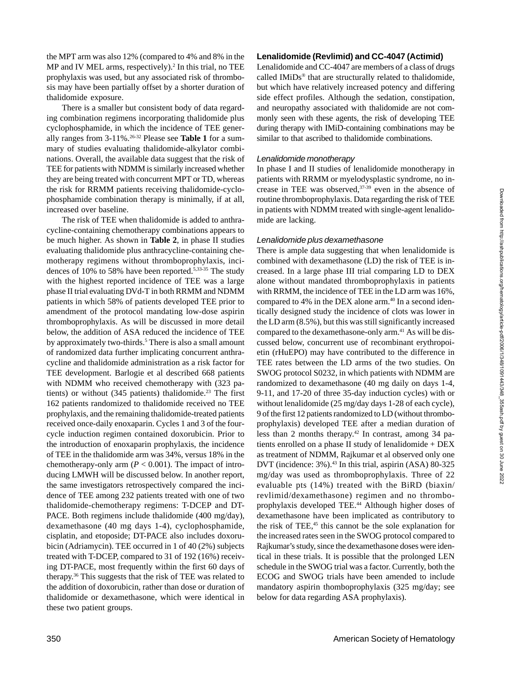the MPT arm was also 12% (compared to 4% and 8% in the MP and IV MEL arms, respectively).<sup>2</sup> In this trial, no TEE prophylaxis was used, but any associated risk of thrombosis may have been partially offset by a shorter duration of thalidomide exposure.

There is a smaller but consistent body of data regarding combination regimens incorporating thalidomide plus cyclophosphamide, in which the incidence of TEE generally ranges from 3-11%.26-32 Please see **Table 1** for a summary of studies evaluating thalidomide-alkylator combinations. Overall, the available data suggest that the risk of TEE for patients with NDMM is similarly increased whether they are being treated with concurrent MPT or TD, whereas the risk for RRMM patients receiving thalidomide-cyclophosphamide combination therapy is minimally, if at all, increased over baseline.

The risk of TEE when thalidomide is added to anthracycline-containing chemotherapy combinations appears to be much higher. As shown in **Table 2**, in phase II studies evaluating thalidomide plus anthracycline-containing chemotherapy regimens without thromboprophylaxis, incidences of 10% to 58% have been reported.5,33-35 The study with the highest reported incidence of TEE was a large phase II trial evaluating DVd-T in both RRMM and NDMM patients in which 58% of patients developed TEE prior to amendment of the protocol mandating low-dose aspirin thromboprophylaxis. As will be discussed in more detail below, the addition of ASA reduced the incidence of TEE by approximately two-thirds.<sup>5</sup> There is also a small amount of randomized data further implicating concurrent anthracycline and thalidomide administration as a risk factor for TEE development. Barlogie et al described 668 patients with NDMM who received chemotherapy with (323 patients) or without  $(345 \text{ patients})$  thalidomide.<sup>23</sup> The first 162 patients randomized to thalidomide received no TEE prophylaxis, and the remaining thalidomide-treated patients received once-daily enoxaparin. Cycles 1 and 3 of the fourcycle induction regimen contained doxorubicin. Prior to the introduction of enoxaparin prophylaxis, the incidence of TEE in the thalidomide arm was 34%, versus 18% in the chemotherapy-only arm  $(P < 0.001)$ . The impact of introducing LMWH will be discussed below. In another report, the same investigators retrospectively compared the incidence of TEE among 232 patients treated with one of two thalidomide-chemotherapy regimens: T-DCEP and DT-PACE. Both regimens include thalidomide (400 mg/day), dexamethasone (40 mg days 1-4), cyclophosphamide, cisplatin, and etoposide; DT-PACE also includes doxorubicin (Adriamycin). TEE occurred in 1 of 40 (2%) subjects treated with T-DCEP, compared to 31 of 192 (16%) receiving DT-PACE, most frequently within the first 60 days of therapy.36 This suggests that the risk of TEE was related to the addition of doxorubicin, rather than dose or duration of thalidomide or dexamethasone, which were identical in these two patient groups.

# **Lenalidomide (Revlimid) and CC-4047 (Actimid)**

Lenalidomide and CC-4047 are members of a class of drugs called IMiDs® that are structurally related to thalidomide, but which have relatively increased potency and differing side effect profiles. Although the sedation, constipation, and neuropathy associated with thalidomide are not commonly seen with these agents, the risk of developing TEE during therapy with IMiD-containing combinations may be similar to that ascribed to thalidomide combinations.

#### *Lenalidomide monotherapy*

In phase I and II studies of lenalidomide monotherapy in patients with RRMM or myelodysplastic syndrome, no increase in TEE was observed,<sup>37-39</sup> even in the absence of routine thromboprophylaxis. Data regarding the risk of TEE in patients with NDMM treated with single-agent lenalidomide are lacking.

#### *Lenalidomide plus dexamethasone*

There is ample data suggesting that when lenalidomide is combined with dexamethasone (LD) the risk of TEE is increased. In a large phase III trial comparing LD to DEX alone without mandated thromboprophylaxis in patients with RRMM, the incidence of TEE in the LD arm was 16%, compared to 4% in the DEX alone arm.<sup>40</sup> In a second identically designed study the incidence of clots was lower in the LD arm (8.5%), but this was still significantly increased compared to the dexamethasone-only arm.41 As will be discussed below, concurrent use of recombinant erythropoietin (rHuEPO) may have contributed to the difference in TEE rates between the LD arms of the two studies. On SWOG protocol S0232, in which patients with NDMM are randomized to dexamethasone (40 mg daily on days 1-4, 9-11, and 17-20 of three 35-day induction cycles) with or without lenalidomide (25 mg/day days 1-28 of each cycle), 9 of the first 12 patients randomized to LD (without thromboprophylaxis) developed TEE after a median duration of less than 2 months therapy.<sup>42</sup> In contrast, among 34 patients enrolled on a phase II study of lenalidomide + DEX as treatment of NDMM, Rajkumar et al observed only one DVT (incidence: 3%).<sup>43</sup> In this trial, aspirin (ASA) 80-325 mg/day was used as thromboprophylaxis. Three of 22 evaluable pts (14%) treated with the BiRD (biaxin/ revlimid/dexamethasone) regimen and no thromboprophylaxis developed TEE.44 Although higher doses of dexamethasone have been implicated as contributory to the risk of TEE,<sup>45</sup> this cannot be the sole explanation for the increased rates seen in the SWOG protocol compared to Rajkumar's study, since the dexamethasone doses were identical in these trials. It is possible that the prolonged LEN schedule in the SWOG trial was a factor. Currently, both the ECOG and SWOG trials have been amended to include mandatory aspirin thomboprophylaxis (325 mg/day; see below for data regarding ASA prophylaxis).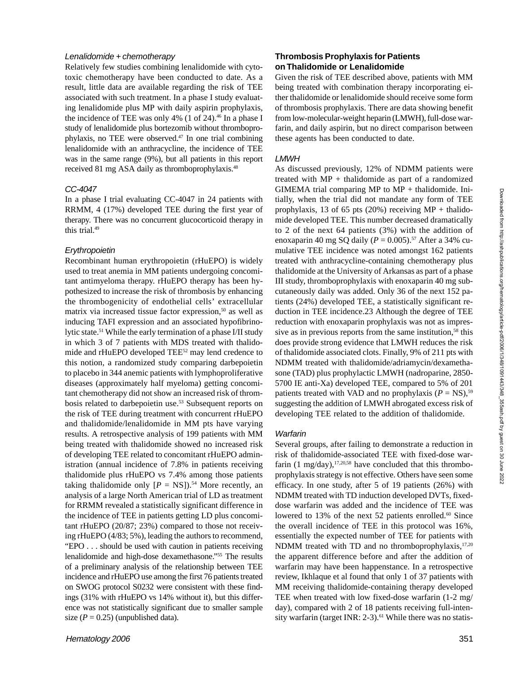#### *Lenalidomide + chemotherapy*

Relatively few studies combining lenalidomide with cytotoxic chemotherapy have been conducted to date. As a result, little data are available regarding the risk of TEE associated with such treatment. In a phase I study evaluating lenalidomide plus MP with daily aspirin prophylaxis, the incidence of TEE was only 4%  $(1 \text{ of } 24)$ .<sup>46</sup> In a phase I study of lenalidomide plus bortezomib without thromboprophylaxis, no TEE were observed.47 In one trial combining lenalidomide with an anthracycline, the incidence of TEE was in the same range (9%), but all patients in this report received 81 mg ASA daily as thromboprophylaxis.<sup>48</sup>

## *CC-4047*

In a phase I trial evaluating CC-4047 in 24 patients with RRMM, 4 (17%) developed TEE during the first year of therapy. There was no concurrent glucocorticoid therapy in this trial.<sup>49</sup>

#### *Erythropoietin*

Recombinant human erythropoietin (rHuEPO) is widely used to treat anemia in MM patients undergoing concomitant antimyeloma therapy. rHuEPO therapy has been hypothesized to increase the risk of thrombosis by enhancing the thrombogenicity of endothelial cells' extracellular matrix via increased tissue factor expression, $50$  as well as inducing TAFI expression and an associated hypofibrinolytic state.<sup>51</sup> While the early termination of a phase I/II study in which 3 of 7 patients with MDS treated with thalidomide and rHuEPO developed TEE52 may lend credence to this notion, a randomized study comparing darbepoietin to placebo in 344 anemic patients with lymphoproliferative diseases (approximately half myeloma) getting concomitant chemotherapy did not show an increased risk of thrombosis related to darbepoietin use.<sup>53</sup> Subsequent reports on the risk of TEE during treatment with concurrent rHuEPO and thalidomide/lenalidomide in MM pts have varying results. A retrospective analysis of 199 patients with MM being treated with thalidomide showed no increased risk of developing TEE related to concomitant rHuEPO administration (annual incidence of 7.8% in patients receiving thalidomide plus rHuEPO vs 7.4% among those patients taking thalidomide only  $[P = NS]$ .<sup>54</sup> More recently, an analysis of a large North American trial of LD as treatment for RRMM revealed a statistically significant difference in the incidence of TEE in patients getting LD plus concomitant rHuEPO (20/87; 23%) compared to those not receiving rHuEPO (4/83; 5%), leading the authors to recommend, "EPO . . . should be used with caution in patients receiving lenalidomide and high-dose dexamethasone."55 The results of a preliminary analysis of the relationship between TEE incidence and rHuEPO use among the first 76 patients treated on SWOG protocol S0232 were consistent with these findings (31% with rHuEPO vs 14% without it), but this difference was not statistically significant due to smaller sample size  $(P = 0.25)$  (unpublished data).

## **Thrombosis Prophylaxis for Patients on Thalidomide or Lenalidomide**

Given the risk of TEE described above, patients with MM being treated with combination therapy incorporating either thalidomide or lenalidomide should receive some form of thrombosis prophylaxis. There are data showing benefit from low-molecular-weight heparin (LMWH), full-dose warfarin, and daily aspirin, but no direct comparison between these agents has been conducted to date.

## *LMWH*

As discussed previously, 12% of NDMM patients were treated with MP + thalidomide as part of a randomized GIMEMA trial comparing MP to  $MP + thalidomide$ . Initially, when the trial did not mandate any form of TEE prophylaxis, 13 of 65 pts (20%) receiving  $MP + thalido$ mide developed TEE. This number decreased dramatically to 2 of the next 64 patients (3%) with the addition of enoxaparin 40 mg SQ daily ( $P = 0.005$ ).<sup>57</sup> After a 34% cumulative TEE incidence was noted amongst 162 patients treated with anthracycline-containing chemotherapy plus thalidomide at the University of Arkansas as part of a phase III study, thromboprophylaxis with enoxaparin 40 mg subcutaneously daily was added. Only 36 of the next 152 patients (24%) developed TEE, a statistically significant reduction in TEE incidence.23 Although the degree of TEE reduction with enoxaparin prophylaxis was not as impressive as in previous reports from the same institution,<sup>58</sup> this does provide strong evidence that LMWH reduces the risk of thalidomide associated clots. Finally, 9% of 211 pts with NDMM treated with thalidomide/adriamycin/dexamethasone (TAD) plus prophylactic LMWH (nadroparine, 2850- 5700 IE anti-Xa) developed TEE, compared to 5% of 201 patients treated with VAD and no prophylaxis  $(P = NS)$ ,<sup>59</sup> suggesting the addition of LMWH abrogated excess risk of developing TEE related to the addition of thalidomide.

## *Warfarin*

Several groups, after failing to demonstrate a reduction in risk of thalidomide-associated TEE with fixed-dose warfarin  $(1 \text{ mg/day})$ ,  $^{17,20,58}$  have concluded that this thromboprophylaxis strategy is not effective. Others have seen some efficacy. In one study, after 5 of 19 patients (26%) with NDMM treated with TD induction developed DVTs, fixeddose warfarin was added and the incidence of TEE was lowered to 13% of the next 52 patients enrolled.<sup>60</sup> Since the overall incidence of TEE in this protocol was 16%, essentially the expected number of TEE for patients with NDMM treated with TD and no thromboprophylaxis,<sup>17,20</sup> the apparent difference before and after the addition of warfarin may have been happenstance. In a retrospective review, Ikhlaque et al found that only 1 of 37 patients with MM receiving thalidomide-containing therapy developed TEE when treated with low fixed-dose warfarin (1-2 mg/ day), compared with 2 of 18 patients receiving full-intensity warfarin (target INR:  $2-3$ ).<sup>61</sup> While there was no statis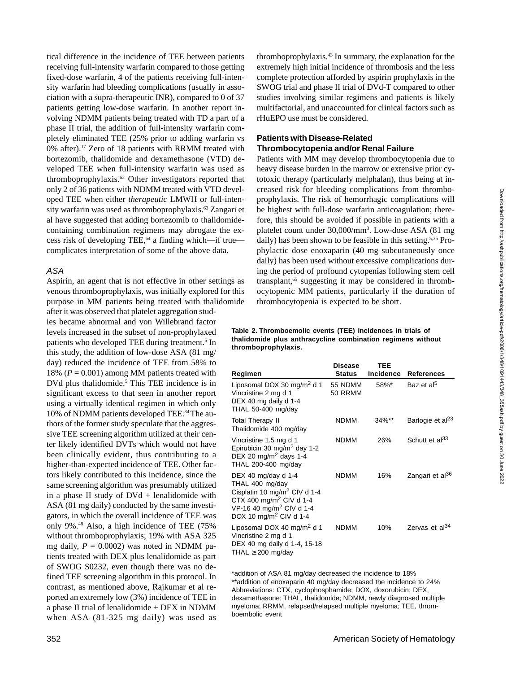tical difference in the incidence of TEE between patients receiving full-intensity warfarin compared to those getting fixed-dose warfarin, 4 of the patients receiving full-intensity warfarin had bleeding complications (usually in association with a supra-therapeutic INR), compared to 0 of 37 patients getting low-dose warfarin. In another report involving NDMM patients being treated with TD a part of a phase II trial, the addition of full-intensity warfarin completely eliminated TEE (25% prior to adding warfarin vs 0% after).<sup>17</sup> Zero of 18 patients with RRMM treated with bortezomib, thalidomide and dexamethasone (VTD) developed TEE when full-intensity warfarin was used as thromboprophylaxis.62 Other investigators reported that only 2 of 36 patients with NDMM treated with VTD developed TEE when either *therapeutic* LMWH or full-intensity warfarin was used as thromboprophylaxis.<sup>63</sup> Zangari et al have suggested that adding bortezomib to thalidomidecontaining combination regimens may abrogate the excess risk of developing TEE, $^{64}$  a finding which—if true complicates interpretation of some of the above data.

## *ASA*

Aspirin, an agent that is not effective in other settings as venous thromboprophylaxis, was initially explored for this purpose in MM patients being treated with thalidomide after it was observed that platelet aggregation studies became abnormal and von Willebrand factor levels increased in the subset of non-prophylaxed patients who developed TEE during treatment.<sup>5</sup> In this study, the addition of low-dose ASA (81 mg/ day) reduced the incidence of TEE from 58% to 18%  $(P = 0.001)$  among MM patients treated with DVd plus thalidomide.<sup>5</sup> This TEE incidence is in significant excess to that seen in another report using a virtually identical regimen in which only 10% of NDMM patients developed TEE.34 The authors of the former study speculate that the aggressive TEE screening algorithm utilized at their center likely identified DVTs which would not have been clinically evident, thus contributing to a higher-than-expected incidence of TEE. Other factors likely contributed to this incidence, since the same screening algorithm was presumably utilized in a phase II study of  $DVd + lenalidomide$  with ASA (81 mg daily) conducted by the same investigators, in which the overall incidence of TEE was only 9%.48 Also, a high incidence of TEE (75% without thromboprophylaxis; 19% with ASA 325 mg daily,  $P = 0.0002$ ) was noted in NDMM patients treated with DEX plus lenalidomide as part of SWOG S0232, even though there was no defined TEE screening algorithm in this protocol. In contrast, as mentioned above, Rajkumar et al reported an extremely low (3%) incidence of TEE in a phase II trial of lenalidomide + DEX in NDMM when ASA (81-325 mg daily) was used as

thromboprophylaxis.43 In summary, the explanation for the extremely high initial incidence of thrombosis and the less complete protection afforded by aspirin prophylaxis in the SWOG trial and phase II trial of DVd-T compared to other studies involving similar regimens and patients is likely multifactorial, and unaccounted for clinical factors such as rHuEPO use must be considered.

# **Patients with Disease-Related Thrombocytopenia and/or Renal Failure**

Patients with MM may develop thrombocytopenia due to heavy disease burden in the marrow or extensive prior cytotoxic therapy (particularly melphalan), thus being at increased risk for bleeding complications from thromboprophylaxis. The risk of hemorrhagic complications will be highest with full-dose warfarin anticoagulation; therefore, this should be avoided if possible in patients with a platelet count under 30,000/mm<sup>3</sup>. Low-dose ASA (81 mg daily) has been shown to be feasible in this setting.<sup>5,35</sup> Prophylactic dose enoxaparin (40 mg subcutaneously once daily) has been used without excessive complications during the period of profound cytopenias following stem cell transplant,<sup>65</sup> suggesting it may be considered in thrombocytopenic MM patients, particularly if the duration of thrombocytopenia is expected to be short.

#### **Table 2. Thromboemolic events (TEE) incidences in trials of thalidomide plus anthracycline combination regimens without thromboprophylaxis.**

| Regimen                                                                                                                                                                                                 | <b>Disease</b><br><b>Status</b> | TEE<br>Incidence | <b>References</b>            |
|---------------------------------------------------------------------------------------------------------------------------------------------------------------------------------------------------------|---------------------------------|------------------|------------------------------|
| Liposomal DOX 30 mg/m <sup>2</sup> d 1<br>Vincristine 2 mg d 1<br>DEX 40 mg daily d 1-4<br>THAL 50-400 mg/day                                                                                           | 55 NDMM<br>50 RRMM              | 58%*             | Baz et al <sup>5</sup>       |
| <b>Total Therapy II</b><br>Thalidomide 400 mg/day                                                                                                                                                       | <b>NDMM</b>                     | $34\%**$         | Barlogie et al <sup>23</sup> |
| Vincristine 1.5 mg d 1<br>Epirubicin 30 mg/m <sup>2</sup> day 1-2<br>DEX 20 mg/m <sup>2</sup> days 1-4<br>THAL 200-400 mg/day                                                                           | <b>NDMM</b>                     | 26%              | Schutt et al <sup>33</sup>   |
| DEX 40 mg/day d 1-4<br>THAL 400 mg/day<br>Cisplatin 10 mg/m <sup>2</sup> CIV d 1-4<br>CTX 400 mg/m <sup>2</sup> CIV d 1-4<br>VP-16 40 mg/m <sup>2</sup> CIV d 1-4<br>DOX 10 mg/m <sup>2</sup> CIV d 1-4 | <b>NDMM</b>                     | 16%              | Zangari et al <sup>36</sup>  |
| Liposomal DOX 40 mg/m <sup>2</sup> d 1<br>Vincristine 2 mg d 1<br>DEX 40 mg daily d 1-4, 15-18<br>THAL $\geq$ 200 mg/day                                                                                | <b>NDMM</b>                     | 10%              | Zervas et al $^{34}$         |

\*addition of ASA 81 mg/day decreased the incidence to 18% \*\*addition of enoxaparin 40 mg/day decreased the incidence to 24% Abbreviations: CTX, cyclophosphamide; DOX, doxorubicin; DEX, dexamethasone; THAL, thalidomide; NDMM, newly diagnosed multiple myeloma; RRMM, relapsed/relapsed multiple myeloma; TEE, thromboembolic event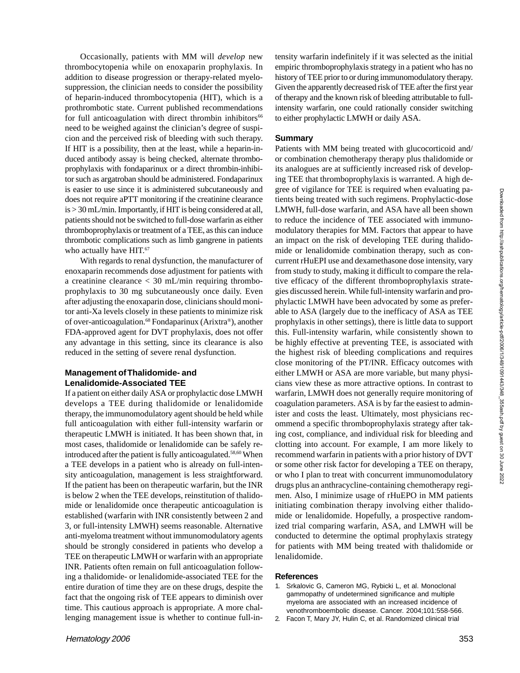Downloaded from http://ashpublications.org/hematology/article-pdf/2006/1/348/1091443/348\_355ash.pdf by guest on 30 June 2022 Downloaded from http://ashpublications.org/hematology/article-pdf/2006/1/348/1091443/348\_355ash.pdf by guest on 30 June 2022

Occasionally, patients with MM will *develop* new thrombocytopenia while on enoxaparin prophylaxis. In addition to disease progression or therapy-related myelosuppression, the clinician needs to consider the possibility of heparin-induced thrombocytopenia (HIT), which is a prothrombotic state. Current published recommendations for full anticoagulation with direct thrombin inhibitors<sup>66</sup> need to be weighed against the clinician's degree of suspicion and the perceived risk of bleeding with such therapy. If HIT is a possibility, then at the least, while a heparin-induced antibody assay is being checked, alternate thromboprophylaxis with fondaparinux or a direct thrombin-inhibitor such as argatroban should be administered. Fondaparinux is easier to use since it is administered subcutaneously and does not require aPTT monitoring if the creatinine clearance is > 30 mL/min. Importantly, if HIT is being considered at all, patients should not be switched to full-dose warfarin as either thromboprophylaxis or treatment of a TEE, as this can induce thrombotic complications such as limb gangrene in patients who actually have HIT.<sup>67</sup>

With regards to renal dysfunction, the manufacturer of enoxaparin recommends dose adjustment for patients with a creatinine clearance  $<$  30 mL/min requiring thromboprophylaxis to 30 mg subcutaneously once daily. Even after adjusting the enoxaparin dose, clinicians should monitor anti-Xa levels closely in these patients to minimize risk of over-anticoagulation.68 Fondaparinux (Arixtra®), another FDA-approved agent for DVT prophylaxis, does not offer any advantage in this setting, since its clearance is also reduced in the setting of severe renal dysfunction.

# **Management of Thalidomide- and Lenalidomide-Associated TEE**

If a patient on either daily ASA or prophylactic dose LMWH develops a TEE during thalidomide or lenalidomide therapy, the immunomodulatory agent should be held while full anticoagulation with either full-intensity warfarin or therapeutic LMWH is initiated. It has been shown that, in most cases, thalidomide or lenalidomide can be safely reintroduced after the patient is fully anticoagulated.<sup>58,60</sup> When a TEE develops in a patient who is already on full-intensity anticoagulation, management is less straightforward. If the patient has been on therapeutic warfarin, but the INR is below 2 when the TEE develops, reinstitution of thalidomide or lenalidomide once therapeutic anticoagulation is established (warfarin with INR consistently between 2 and 3, or full-intensity LMWH) seems reasonable. Alternative anti-myeloma treatment without immunomodulatory agents should be strongly considered in patients who develop a TEE on therapeutic LMWH or warfarin with an appropriate INR. Patients often remain on full anticoagulation following a thalidomide- or lenalidomide-associated TEE for the entire duration of time they are on these drugs, despite the fact that the ongoing risk of TEE appears to diminish over time. This cautious approach is appropriate. A more challenging management issue is whether to continue full-in-

tensity warfarin indefinitely if it was selected as the initial empiric thromboprophylaxis strategy in a patient who has no history of TEE prior to or during immunomodulatory therapy. Given the apparently decreased risk of TEE after the first year of therapy and the known risk of bleeding attributable to fullintensity warfarin, one could rationally consider switching to either prophylactic LMWH or daily ASA.

# **Summary**

Patients with MM being treated with glucocorticoid and/ or combination chemotherapy therapy plus thalidomide or its analogues are at sufficiently increased risk of developing TEE that thromboprophylaxis is warranted. A high degree of vigilance for TEE is required when evaluating patients being treated with such regimens. Prophylactic-dose LMWH, full-dose warfarin, and ASA have all been shown to reduce the incidence of TEE associated with immunomodulatory therapies for MM. Factors that appear to have an impact on the risk of developing TEE during thalidomide or lenalidomide combination therapy, such as concurrent rHuEPI use and dexamethasone dose intensity, vary from study to study, making it difficult to compare the relative efficacy of the different thromboprophylaxis strategies discussed herein. While full-intensity warfarin and prophylactic LMWH have been advocated by some as preferable to ASA (largely due to the inefficacy of ASA as TEE prophylaxis in other settings), there is little data to support this. Full-intensity warfarin, while consistently shown to be highly effective at preventing TEE, is associated with the highest risk of bleeding complications and requires close monitoring of the PT/INR. Efficacy outcomes with either LMWH or ASA are more variable, but many physicians view these as more attractive options. In contrast to warfarin, LMWH does not generally require monitoring of coagulation parameters. ASA is by far the easiest to administer and costs the least. Ultimately, most physicians recommend a specific thromboprophylaxis strategy after taking cost, compliance, and individual risk for bleeding and clotting into account. For example, I am more likely to recommend warfarin in patients with a prior history of DVT or some other risk factor for developing a TEE on therapy, or who I plan to treat with concurrent immunomodulatory drugs plus an anthracycline-containing chemotherapy regimen. Also, I minimize usage of rHuEPO in MM patients initiating combination therapy involving either thalidomide or lenalidomide. Hopefully, a prospective randomized trial comparing warfarin, ASA, and LMWH will be conducted to determine the optimal prophylaxis strategy for patients with MM being treated with thalidomide or lenalidomide.

# **References**

- 1. Srkalovic G, Cameron MG, Rybicki L, et al. Monoclonal gammopathy of undetermined significance and multiple myeloma are associated with an increased incidence of venothromboembolic disease. Cancer. 2004;101:558-566.
- 2. Facon T, Mary JY, Hulin C, et al. Randomized clinical trial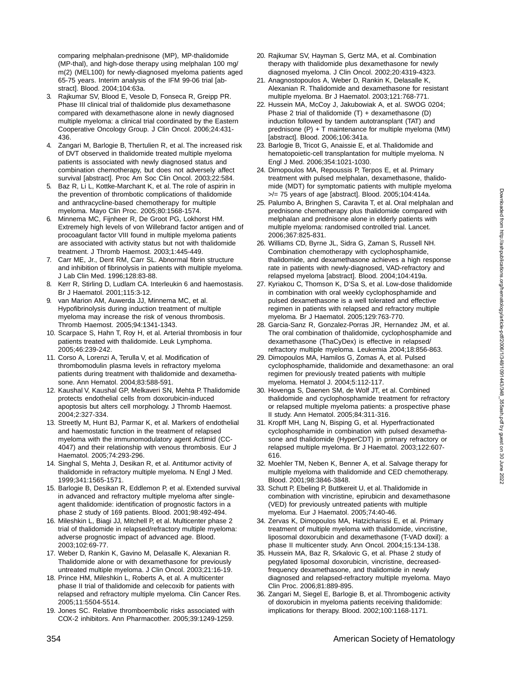comparing melphalan-prednisone (MP), MP-thalidomide (MP-thal), and high-dose therapy using melphalan 100 mg/ m(2) (MEL100) for newly-diagnosed myeloma patients aged 65-75 years. Interim analysis of the IFM 99-06 trial [abstract]. Blood. 2004;104:63a.

- 3. Rajkumar SV, Blood E, Vesole D, Fonseca R, Greipp PR. Phase III clinical trial of thalidomide plus dexamethasone compared with dexamethasone alone in newly diagnosed multiple myeloma: a clinical trial coordinated by the Eastern Cooperative Oncology Group. J Clin Oncol. 2006;24:431- 436.
- 4. Zangari M, Barlogie B, Thertulien R, et al. The increased risk of DVT observed in thalidomide treated multiple myeloma patients is associated with newly diagnosed status and combination chemotherapy, but does not adversely affect survival [abstract]. Proc Am Soc Clin Oncol. 2003;22:584.
- 5. Baz R, Li L, Kottke-Marchant K, et al. The role of aspirin in the prevention of thrombotic complications of thalidomide and anthracycline-based chemotherapy for multiple myeloma. Mayo Clin Proc. 2005;80:1568-1574.
- 6. Minnema MC, Fijnheer R, De Groot PG, Lokhorst HM. Extremely high levels of von Willebrand factor antigen and of procoagulant factor VIII found in multiple myeloma patients are associated with activity status but not with thalidomide treatment. J Thromb Haemost. 2003;1:445-449.
- 7. Carr ME, Jr., Dent RM, Carr SL. Abnormal fibrin structure and inhibition of fibrinolysis in patients with multiple myeloma. J Lab Clin Med. 1996;128:83-88.
- 8. Kerr R, Stirling D, Ludlam CA. Interleukin 6 and haemostasis. Br J Haematol. 2001;115:3-12.
- 9. van Marion AM, Auwerda JJ, Minnema MC, et al. Hypofibrinolysis during induction treatment of multiple myeloma may increase the risk of venous thrombosis. Thromb Haemost. 2005;94:1341-1343.
- 10. Scarpace S, Hahn T, Roy H, et al. Arterial thrombosis in four patients treated with thalidomide. Leuk Lymphoma. 2005;46:239-242.
- 11. Corso A, Lorenzi A, Terulla V, et al. Modification of thrombomodulin plasma levels in refractory myeloma patients during treatment with thalidomide and dexamethasone. Ann Hematol. 2004;83:588-591.
- 12. Kaushal V, Kaushal GP, Melkaveri SN, Mehta P. Thalidomide protects endothelial cells from doxorubicin-induced apoptosis but alters cell morphology. J Thromb Haemost. 2004;2:327-334.
- 13. Streetly M, Hunt BJ, Parmar K, et al. Markers of endothelial and haemostatic function in the treatment of relapsed myeloma with the immunomodulatory agent Actimid (CC-4047) and their relationship with venous thrombosis. Eur J Haematol. 2005;74:293-296.
- 14. Singhal S, Mehta J, Desikan R, et al. Antitumor activity of thalidomide in refractory multiple myeloma. N Engl J Med. 1999;341:1565-1571.
- 15. Barlogie B, Desikan R, Eddlemon P, et al. Extended survival in advanced and refractory multiple myeloma after singleagent thalidomide: identification of prognostic factors in a phase 2 study of 169 patients. Blood. 2001;98:492-494.
- 16. Mileshkin L, Biagi JJ, Mitchell P, et al. Multicenter phase 2 trial of thalidomide in relapsed/refractory multiple myeloma: adverse prognostic impact of advanced age. Blood. 2003;102:69-77.
- 17. Weber D, Rankin K, Gavino M, Delasalle K, Alexanian R. Thalidomide alone or with dexamethasone for previously untreated multiple myeloma. J Clin Oncol. 2003;21:16-19.
- 18. Prince HM, Mileshkin L, Roberts A, et al. A multicenter phase II trial of thalidomide and celecoxib for patients with relapsed and refractory multiple myeloma. Clin Cancer Res. 2005;11:5504-5514.
- 19. Jones SC. Relative thromboembolic risks associated with COX-2 inhibitors. Ann Pharmacother. 2005;39:1249-1259.
- 20. Rajkumar SV, Hayman S, Gertz MA, et al. Combination therapy with thalidomide plus dexamethasone for newly diagnosed myeloma. J Clin Oncol. 2002;20:4319-4323.
- 21. Anagnostopoulos A, Weber D, Rankin K, Delasalle K, Alexanian R. Thalidomide and dexamethasone for resistant multiple myeloma. Br J Haematol. 2003;121:768-771.
- 22. Hussein MA, McCoy J, Jakubowiak A, et al. SWOG 0204; Phase 2 trial of thalidomide (T) + dexamethasone (D) induction followed by tandem autotransplant (TAT) and prednisone (P) + T maintenance for multiple myeloma (MM) [abstract]. Blood. 2006;106:341a.
- 23. Barlogie B, Tricot G, Anaissie E, et al. Thalidomide and hematopoietic-cell transplantation for multiple myeloma. N Engl J Med. 2006;354:1021-1030.
- 24. Dimopoulos MA, Repoussis P, Terpos E, et al. Primary treatment with pulsed melphalan, dexamethasone, thalidomide (MDT) for symptomatic patients with multiple myeloma >/= 75 years of age [abstract]. Blood. 2005;104:414a.
- 25. Palumbo A, Bringhen S, Caravita T, et al. Oral melphalan and prednisone chemotherapy plus thalidomide compared with melphalan and prednisone alone in elderly patients with multiple myeloma: randomised controlled trial. Lancet. 2006;367:825-831.
- 26. Williams CD, Byrne JL, Sidra G, Zaman S, Russell NH. Combination chemotherapy with cyclophosphamide, thalidomide, and dexamethasone achieves a high response rate in patients with newly-diagnosed, VAD-refractory and relapsed myeloma [abstract]. Blood. 2004;104:419a.
- 27. Kyriakou C, Thomson K, D'Sa S, et al. Low-dose thalidomide in combination with oral weekly cyclophosphamide and pulsed dexamethasone is a well tolerated and effective regimen in patients with relapsed and refractory multiple myeloma. Br J Haematol. 2005;129:763-770.
- 28. Garcia-Sanz R, Gonzalez-Porras JR, Hernandez JM, et al. The oral combination of thalidomide, cyclophosphamide and dexamethasone (ThaCyDex) is effective in relapsed/ refractory multiple myeloma. Leukemia 2004;18:856-863.
- 29. Dimopoulos MA, Hamilos G, Zomas A, et al. Pulsed cyclophosphamide, thalidomide and dexamethasone: an oral regimen for previously treated patients with multiple myeloma. Hematol J. 2004;5:112-117.
- 30. Hovenga S, Daenen SM, de Wolf JT, et al. Combined thalidomide and cyclophosphamide treatment for refractory or relapsed multiple myeloma patients: a prospective phase II study. Ann Hematol. 2005;84:311-316.
- 31. Kropff MH, Lang N, Bisping G, et al. Hyperfractionated cyclophosphamide in combination with pulsed dexamethasone and thalidomide (HyperCDT) in primary refractory or relapsed multiple myeloma. Br J Haematol. 2003;122:607- 616.
- 32. Moehler TM, Neben K, Benner A, et al. Salvage therapy for multiple myeloma with thalidomide and CED chemotherapy. Blood. 2001;98:3846-3848.
- 33. Schutt P, Ebeling P, Buttkereit U, et al. Thalidomide in combination with vincristine, epirubicin and dexamethasone (VED) for previously untreated patients with multiple myeloma. Eur J Haematol. 2005;74:40-46.
- 34. Zervas K, Dimopoulos MA, Hatzicharissi E, et al. Primary treatment of multiple myeloma with thalidomide, vincristine, liposomal doxorubicin and dexamethasone (T-VAD doxil): a phase II multicenter study. Ann Oncol. 2004;15:134-138.
- 35. Hussein MA, Baz R, Srkalovic G, et al. Phase 2 study of pegylated liposomal doxorubicin, vincristine, decreasedfrequency dexamethasone, and thalidomide in newly diagnosed and relapsed-refractory multiple myeloma. Mayo Clin Proc. 2006;81:889-895.
- 36. Zangari M, Siegel E, Barlogie B, et al. Thrombogenic activity of doxorubicin in myeloma patients receiving thalidomide: implications for therapy. Blood. 2002;100:1168-1171.